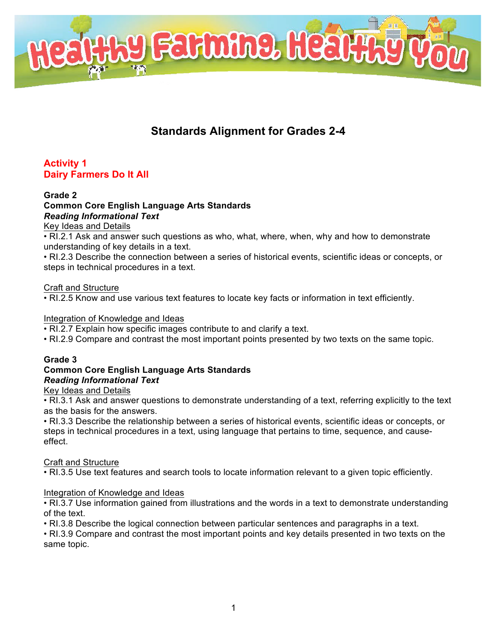

# **Standards Alignment for Grades 2-4**

# **Activity 1 Dairy Farmers Do It All**

#### **Grade 2 Common Core English Language Arts Standards** *Reading Informational Text*

Key Ideas and Details

• RI.2.1 Ask and answer such questions as who, what, where, when, why and how to demonstrate understanding of key details in a text.

• RI.2.3 Describe the connection between a series of historical events, scientific ideas or concepts, or steps in technical procedures in a text.

#### Craft and Structure

• RI.2.5 Know and use various text features to locate key facts or information in text efficiently.

#### Integration of Knowledge and Ideas

• RI.2.7 Explain how specific images contribute to and clarify a text.

• RI.2.9 Compare and contrast the most important points presented by two texts on the same topic.

# **Grade 3**

### **Common Core English Language Arts Standards** *Reading Informational Text*

### Key Ideas and Details

• RI.3.1 Ask and answer questions to demonstrate understanding of a text, referring explicitly to the text as the basis for the answers.

• RI.3.3 Describe the relationship between a series of historical events, scientific ideas or concepts, or steps in technical procedures in a text, using language that pertains to time, sequence, and causeeffect.

### Craft and Structure

• RI.3.5 Use text features and search tools to locate information relevant to a given topic efficiently.

### Integration of Knowledge and Ideas

• RI.3.7 Use information gained from illustrations and the words in a text to demonstrate understanding of the text.

• RI.3.8 Describe the logical connection between particular sentences and paragraphs in a text.

• RI.3.9 Compare and contrast the most important points and key details presented in two texts on the same topic.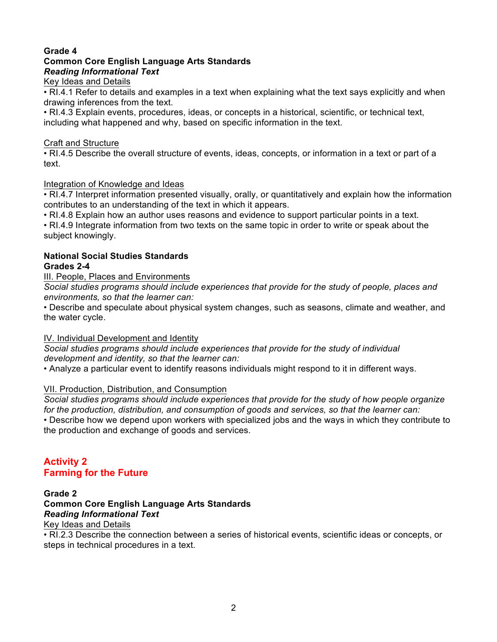#### **Grade 4 Common Core English Language Arts Standards** *Reading Informational Text*

### Key Ideas and Details

• RI.4.1 Refer to details and examples in a text when explaining what the text says explicitly and when drawing inferences from the text.

• RI.4.3 Explain events, procedures, ideas, or concepts in a historical, scientific, or technical text, including what happened and why, based on specific information in the text.

### Craft and Structure

• RI.4.5 Describe the overall structure of events, ideas, concepts, or information in a text or part of a text.

### Integration of Knowledge and Ideas

• RI.4.7 Interpret information presented visually, orally, or quantitatively and explain how the information contributes to an understanding of the text in which it appears.

• RI.4.8 Explain how an author uses reasons and evidence to support particular points in a text.

• RI.4.9 Integrate information from two texts on the same topic in order to write or speak about the subject knowingly.

# **National Social Studies Standards**

### **Grades 2-4**

III. People, Places and Environments

*Social studies programs should include experiences that provide for the study of people, places and environments, so that the learner can:*

• Describe and speculate about physical system changes, such as seasons, climate and weather, and the water cycle.

### IV. Individual Development and Identity

*Social studies programs should include experiences that provide for the study of individual development and identity, so that the learner can:*

• Analyze a particular event to identify reasons individuals might respond to it in different ways.

### VII. Production, Distribution, and Consumption

*Social studies programs should include experiences that provide for the study of how people organize for the production, distribution, and consumption of goods and services, so that the learner can:*

• Describe how we depend upon workers with specialized jobs and the ways in which they contribute to the production and exchange of goods and services.

# **Activity 2 Farming for the Future**

### **Grade 2 Common Core English Language Arts Standards** *Reading Informational Text*

Key Ideas and Details

• RI.2.3 Describe the connection between a series of historical events, scientific ideas or concepts, or steps in technical procedures in a text.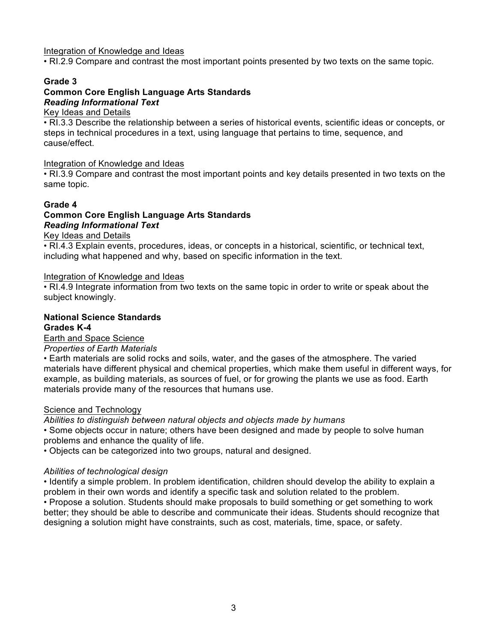#### Integration of Knowledge and Ideas

• RI.2.9 Compare and contrast the most important points presented by two texts on the same topic.

#### **Grade 3**

# **Common Core English Language Arts Standards** *Reading Informational Text*

Key Ideas and Details

• RI.3.3 Describe the relationship between a series of historical events, scientific ideas or concepts, or steps in technical procedures in a text, using language that pertains to time, sequence, and cause/effect.

#### Integration of Knowledge and Ideas

• RI.3.9 Compare and contrast the most important points and key details presented in two texts on the same topic.

### **Grade 4 Common Core English Language Arts Standards** *Reading Informational Text*

#### Key Ideas and Details

• RI.4.3 Explain events, procedures, ideas, or concepts in a historical, scientific, or technical text, including what happened and why, based on specific information in the text.

#### Integration of Knowledge and Ideas

• RI.4.9 Integrate information from two texts on the same topic in order to write or speak about the subject knowingly.

#### **National Science Standards Grades K-4**

Earth and Space Science

#### *Properties of Earth Materials*

• Earth materials are solid rocks and soils, water, and the gases of the atmosphere. The varied materials have different physical and chemical properties, which make them useful in different ways, for example, as building materials, as sources of fuel, or for growing the plants we use as food. Earth materials provide many of the resources that humans use.

#### Science and Technology

*Abilities to distinguish between natural objects and objects made by humans*

• Some objects occur in nature; others have been designed and made by people to solve human problems and enhance the quality of life.

• Objects can be categorized into two groups, natural and designed.

#### *Abilities of technological design*

• Identify a simple problem. In problem identification, children should develop the ability to explain a problem in their own words and identify a specific task and solution related to the problem.

• Propose a solution. Students should make proposals to build something or get something to work better; they should be able to describe and communicate their ideas. Students should recognize that designing a solution might have constraints, such as cost, materials, time, space, or safety.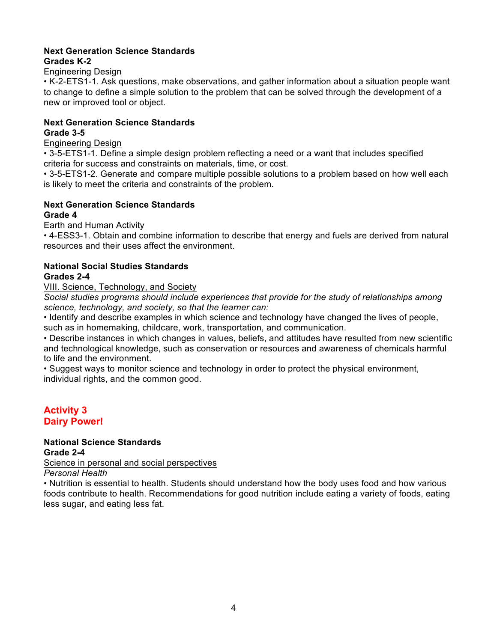#### **Next Generation Science Standards Grades K-2**

#### Engineering Design

• K-2-ETS1-1. Ask questions, make observations, and gather information about a situation people want to change to define a simple solution to the problem that can be solved through the development of a new or improved tool or object.

#### **Next Generation Science Standards Grade 3-5**

Engineering Design

• 3-5-ETS1-1. Define a simple design problem reflecting a need or a want that includes specified criteria for success and constraints on materials, time, or cost.

• 3-5-ETS1-2. Generate and compare multiple possible solutions to a problem based on how well each is likely to meet the criteria and constraints of the problem.

# **Next Generation Science Standards**

#### **Grade 4**

Earth and Human Activity

• 4-ESS3-1. Obtain and combine information to describe that energy and fuels are derived from natural resources and their uses affect the environment.

### **National Social Studies Standards**

### **Grades 2-4**

VIII. Science, Technology, and Society

*Social studies programs should include experiences that provide for the study of relationships among science, technology, and society, so that the learner can:*

• Identify and describe examples in which science and technology have changed the lives of people, such as in homemaking, childcare, work, transportation, and communication.

• Describe instances in which changes in values, beliefs, and attitudes have resulted from new scientific and technological knowledge, such as conservation or resources and awareness of chemicals harmful to life and the environment.

• Suggest ways to monitor science and technology in order to protect the physical environment, individual rights, and the common good.

# **Activity 3 Dairy Power!**

# **National Science Standards Grade 2-4**

Science in personal and social perspectives

*Personal Health*

• Nutrition is essential to health. Students should understand how the body uses food and how various foods contribute to health. Recommendations for good nutrition include eating a variety of foods, eating less sugar, and eating less fat.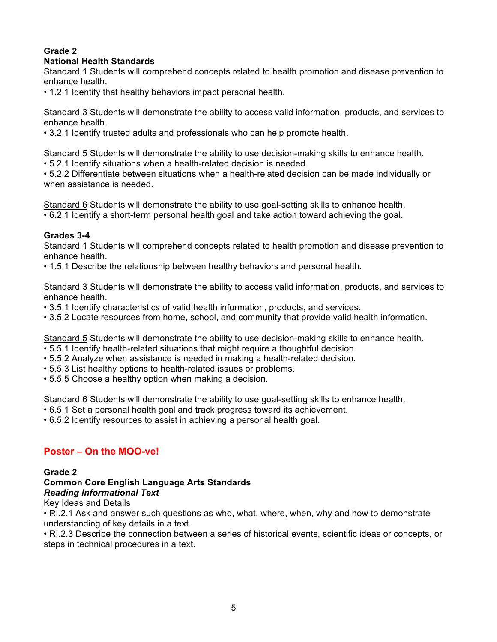#### **Grade 2 National Health Standards**

Standard 1 Students will comprehend concepts related to health promotion and disease prevention to enhance health.

• 1.2.1 Identify that healthy behaviors impact personal health.

Standard 3 Students will demonstrate the ability to access valid information, products, and services to enhance health.

• 3.2.1 Identify trusted adults and professionals who can help promote health.

Standard 5 Students will demonstrate the ability to use decision-making skills to enhance health.

• 5.2.1 Identify situations when a health-related decision is needed.

• 5.2.2 Differentiate between situations when a health-related decision can be made individually or when assistance is needed.

Standard 6 Students will demonstrate the ability to use goal-setting skills to enhance health.

• 6.2.1 Identify a short-term personal health goal and take action toward achieving the goal.

### **Grades 3-4**

Standard 1 Students will comprehend concepts related to health promotion and disease prevention to enhance health.

• 1.5.1 Describe the relationship between healthy behaviors and personal health.

Standard 3 Students will demonstrate the ability to access valid information, products, and services to enhance health.

- 3.5.1 Identify characteristics of valid health information, products, and services.
- 3.5.2 Locate resources from home, school, and community that provide valid health information.

Standard 5 Students will demonstrate the ability to use decision-making skills to enhance health.

- 5.5.1 Identify health-related situations that might require a thoughtful decision.
- 5.5.2 Analyze when assistance is needed in making a health-related decision.
- 5.5.3 List healthy options to health-related issues or problems.
- 5.5.5 Choose a healthy option when making a decision.

Standard 6 Students will demonstrate the ability to use goal-setting skills to enhance health.

• 6.5.1 Set a personal health goal and track progress toward its achievement.

• 6.5.2 Identify resources to assist in achieving a personal health goal.

# **Poster – On the MOO-ve!**

### **Grade 2**

**Common Core English Language Arts Standards** *Reading Informational Text*

### Key Ideas and Details

• RI.2.1 Ask and answer such questions as who, what, where, when, why and how to demonstrate understanding of key details in a text.

• RI.2.3 Describe the connection between a series of historical events, scientific ideas or concepts, or steps in technical procedures in a text.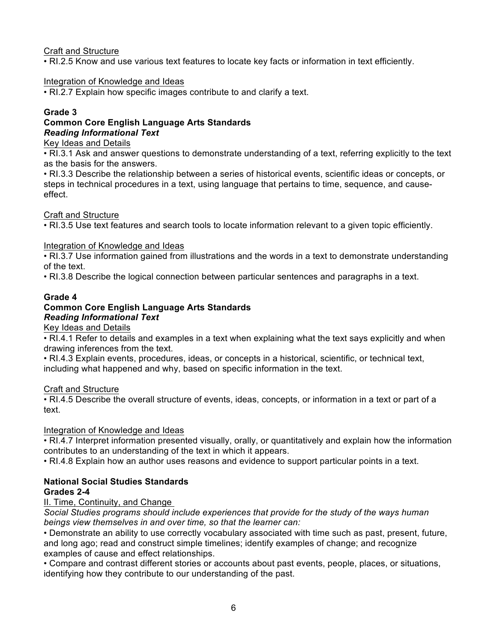### Craft and Structure

• RI.2.5 Know and use various text features to locate key facts or information in text efficiently.

### Integration of Knowledge and Ideas

• RI.2.7 Explain how specific images contribute to and clarify a text.

### **Grade 3**

### **Common Core English Language Arts Standards** *Reading Informational Text*

#### Key Ideas and Details

• RI.3.1 Ask and answer questions to demonstrate understanding of a text, referring explicitly to the text as the basis for the answers.

• RI.3.3 Describe the relationship between a series of historical events, scientific ideas or concepts, or steps in technical procedures in a text, using language that pertains to time, sequence, and causeeffect.

### Craft and Structure

• RI.3.5 Use text features and search tools to locate information relevant to a given topic efficiently.

### Integration of Knowledge and Ideas

• RI.3.7 Use information gained from illustrations and the words in a text to demonstrate understanding of the text.

• RI.3.8 Describe the logical connection between particular sentences and paragraphs in a text.

### **Grade 4**

#### **Common Core English Language Arts Standards** *Reading Informational Text*

Key Ideas and Details

• RI.4.1 Refer to details and examples in a text when explaining what the text says explicitly and when drawing inferences from the text.

• RI.4.3 Explain events, procedures, ideas, or concepts in a historical, scientific, or technical text, including what happened and why, based on specific information in the text.

### Craft and Structure

• RI.4.5 Describe the overall structure of events, ideas, concepts, or information in a text or part of a text.

### Integration of Knowledge and Ideas

• RI.4.7 Interpret information presented visually, orally, or quantitatively and explain how the information contributes to an understanding of the text in which it appears.

• RI.4.8 Explain how an author uses reasons and evidence to support particular points in a text.

# **National Social Studies Standards**

# **Grades 2-4**

# II. Time, Continuity, and Change

*Social Studies programs should include experiences that provide for the study of the ways human beings view themselves in and over time, so that the learner can:*

• Demonstrate an ability to use correctly vocabulary associated with time such as past, present, future, and long ago; read and construct simple timelines; identify examples of change; and recognize examples of cause and effect relationships.

• Compare and contrast different stories or accounts about past events, people, places, or situations, identifying how they contribute to our understanding of the past.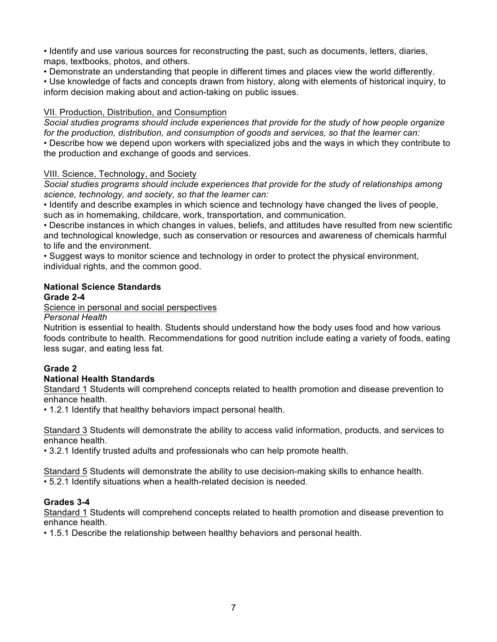• Identify and use various sources for reconstructing the past, such as documents, letters, diaries, maps, textbooks, photos, and others.

• Demonstrate an understanding that people in different times and places view the world differently.

• Use knowledge of facts and concepts drawn from history, along with elements of historical inquiry, to inform decision making about and action-taking on public issues.

### VII. Production, Distribution, and Consumption

*Social studies programs should include experiences that provide for the study of how people organize for the production, distribution, and consumption of goods and services, so that the learner can:* • Describe how we depend upon workers with specialized jobs and the ways in which they contribute to the production and exchange of goods and services.

### VIII. Science, Technology, and Society

*Social studies programs should include experiences that provide for the study of relationships among science, technology, and society, so that the learner can:*

• Identify and describe examples in which science and technology have changed the lives of people, such as in homemaking, childcare, work, transportation, and communication.

• Describe instances in which changes in values, beliefs, and attitudes have resulted from new scientific and technological knowledge, such as conservation or resources and awareness of chemicals harmful to life and the environment.

• Suggest ways to monitor science and technology in order to protect the physical environment, individual rights, and the common good.

### **National Science Standards**

### **Grade 2-4**

Science in personal and social perspectives

*Personal Health*

Nutrition is essential to health. Students should understand how the body uses food and how various foods contribute to health. Recommendations for good nutrition include eating a variety of foods, eating less sugar, and eating less fat.

# **Grade 2**

### **National Health Standards**

Standard 1 Students will comprehend concepts related to health promotion and disease prevention to enhance health.

• 1.2.1 Identify that healthy behaviors impact personal health.

Standard 3 Students will demonstrate the ability to access valid information, products, and services to enhance health.

• 3.2.1 Identify trusted adults and professionals who can help promote health.

Standard 5 Students will demonstrate the ability to use decision-making skills to enhance health. • 5.2.1 Identify situations when a health-related decision is needed.

### **Grades 3-4**

Standard 1 Students will comprehend concepts related to health promotion and disease prevention to enhance health.

• 1.5.1 Describe the relationship between healthy behaviors and personal health.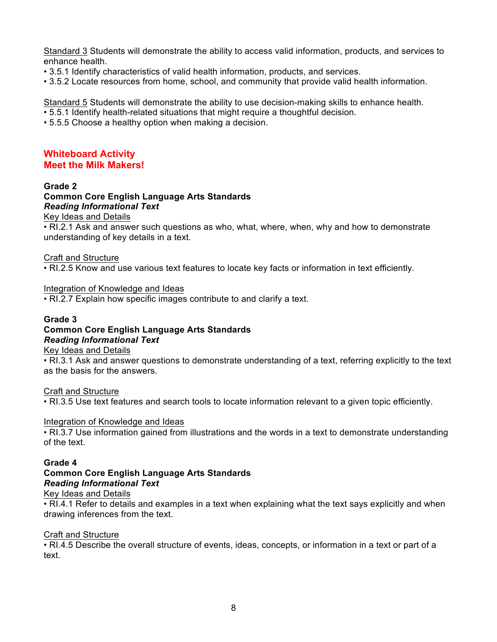Standard 3 Students will demonstrate the ability to access valid information, products, and services to enhance health.

- 3.5.1 Identify characteristics of valid health information, products, and services.
- 3.5.2 Locate resources from home, school, and community that provide valid health information.

Standard 5 Students will demonstrate the ability to use decision-making skills to enhance health.

- 5.5.1 Identify health-related situations that might require a thoughtful decision.
- 5.5.5 Choose a healthy option when making a decision.

#### **Whiteboard Activity Meet the Milk Makers!**

#### **Grade 2**

#### **Common Core English Language Arts Standards** *Reading Informational Text*

Key Ideas and Details

• RI.2.1 Ask and answer such questions as who, what, where, when, why and how to demonstrate understanding of key details in a text.

#### Craft and Structure

• RI.2.5 Know and use various text features to locate key facts or information in text efficiently.

#### Integration of Knowledge and Ideas

• RI.2.7 Explain how specific images contribute to and clarify a text.

#### **Grade 3 Common Core English Language Arts Standards** *Reading Informational Text*

Key Ideas and Details

• RI.3.1 Ask and answer questions to demonstrate understanding of a text, referring explicitly to the text as the basis for the answers.

#### Craft and Structure

• RI.3.5 Use text features and search tools to locate information relevant to a given topic efficiently.

#### Integration of Knowledge and Ideas

• RI.3.7 Use information gained from illustrations and the words in a text to demonstrate understanding of the text.

#### **Grade 4**

# **Common Core English Language Arts Standards** *Reading Informational Text*

#### Key Ideas and Details

• RI.4.1 Refer to details and examples in a text when explaining what the text says explicitly and when drawing inferences from the text.

#### Craft and Structure

• RI.4.5 Describe the overall structure of events, ideas, concepts, or information in a text or part of a text.